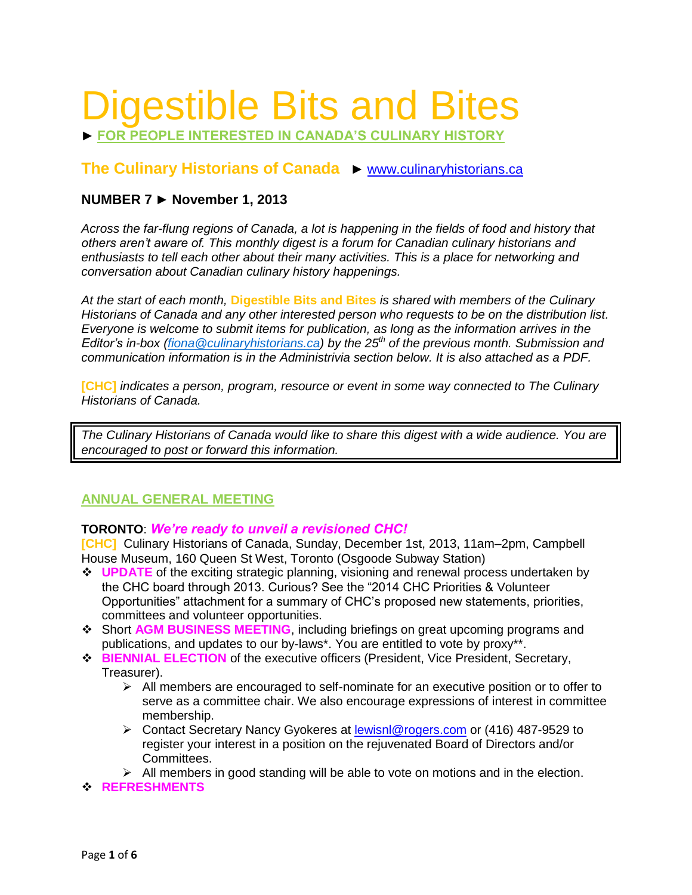# Digestible Bits and Bites

► **FOR PEOPLE INTERESTED IN CANADA'S CULINARY HISTORY**

**The Culinary Historians of Canada** ► [www.culinaryhistorians.ca](http://www.culinaryhistorians.ca/)

# **NUMBER 7 ► November 1, 2013**

*Across the far-flung regions of Canada, a lot is happening in the fields of food and history that others aren't aware of. This monthly digest is a forum for Canadian culinary historians and enthusiasts to tell each other about their many activities. This is a place for networking and conversation about Canadian culinary history happenings.* 

*At the start of each month,* **Digestible Bits and Bites** *is shared with members of the Culinary Historians of Canada and any other interested person who requests to be on the distribution list. Everyone is welcome to submit items for publication, as long as the information arrives in the Editor's in-box [\(fiona@culinaryhistorians.ca\)](mailto:fiona@culinaryhistorians.ca) by the 25th of the previous month. Submission and communication information is in the Administrivia section below. It is also attached as a PDF.*

**[CHC]** *indicates a person, program, resource or event in some way connected to The Culinary Historians of Canada.*

*The Culinary Historians of Canada would like to share this digest with a wide audience. You are encouraged to post or forward this information.*

# **ANNUAL GENERAL MEETING**

# **TORONTO**: *We're ready to unveil a revisioned CHC!*

**[CHC]** Culinary Historians of Canada, Sunday, December 1st, 2013, 11am–2pm, Campbell House Museum, 160 Queen St West, Toronto (Osgoode Subway Station)

- **↓ UPDATE** of the exciting strategic planning, visioning and renewal process undertaken by the CHC board through 2013. Curious? See the "2014 CHC Priorities & Volunteer Opportunities" attachment for a summary of CHC's proposed new statements, priorities, committees and volunteer opportunities.
- Short **AGM BUSINESS MEETING**, including briefings on great upcoming programs and publications, and updates to our by-laws\*. You are entitled to vote by proxy\*\*.
- **BIENNIAL ELECTION** of the executive officers (President, Vice President, Secretary, Treasurer).
	- $\triangleright$  All members are encouraged to self-nominate for an executive position or to offer to serve as a committee chair. We also encourage expressions of interest in committee membership.
	- Contact Secretary Nancy Gyokeres at [lewisnl@rogers.com](file:///C:/Users/Fiona/Documents/CHC/CHC%20MEETINGS/2013/AGM/lewisnl@rogers.com) or (416) 487-9529 to register your interest in a position on the rejuvenated Board of Directors and/or Committees.
	- $\triangleright$  All members in good standing will be able to vote on motions and in the election.
- **REFRESHMENTS**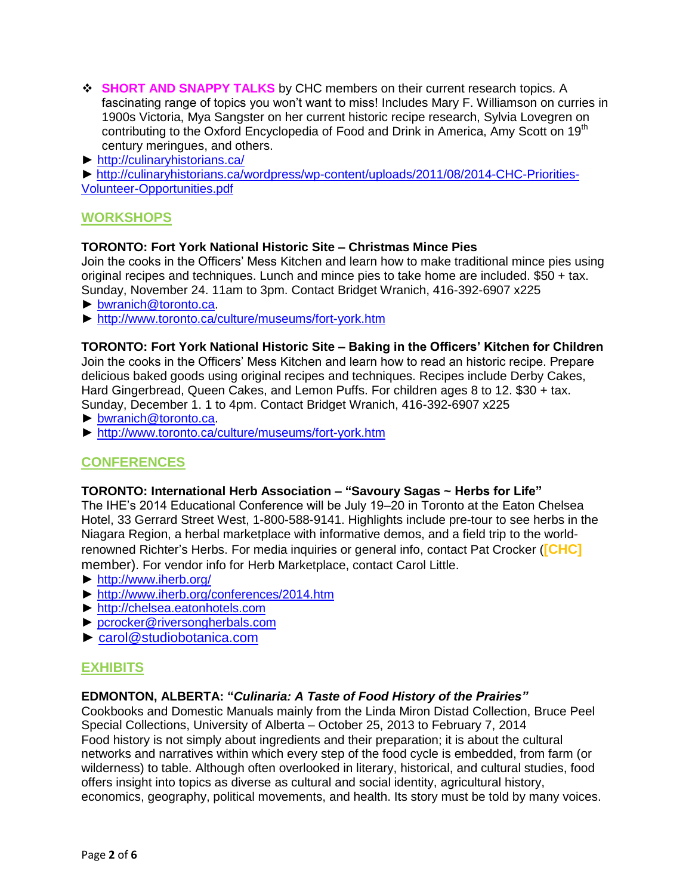- **SHORT AND SNAPPY TALKS** by CHC members on their current research topics. A fascinating range of topics you won't want to miss! Includes Mary F. Williamson on curries in 1900s Victoria, Mya Sangster on her current historic recipe research, Sylvia Lovegren on contributing to the Oxford Encyclopedia of Food and Drink in America, Amy Scott on 19<sup>th</sup> century meringues, and others.
- ► <http://culinaryhistorians.ca/>

► [http://culinaryhistorians.ca/wordpress/wp-content/uploads/2011/08/2014-CHC-Priorities-](http://culinaryhistorians.ca/wordpress/wp-content/uploads/2011/08/2014-CHC-Priorities-Volunteer-Opportunities.pdf)[Volunteer-Opportunities.pdf](http://culinaryhistorians.ca/wordpress/wp-content/uploads/2011/08/2014-CHC-Priorities-Volunteer-Opportunities.pdf)

# **WORKSHOPS**

#### **TORONTO: Fort York National Historic Site – Christmas Mince Pies**

Join the cooks in the Officers' Mess Kitchen and learn how to make traditional mince pies using original recipes and techniques. Lunch and mince pies to take home are included. \$50 + tax. Sunday, November 24. 11am to 3pm. Contact Bridget Wranich, 416-392-6907 x225

- ► [bwranich@toronto.ca.](mailto:bwranich@toronto.ca)
- ► <http://www.toronto.ca/culture/museums/fort-york.htm>

#### **TORONTO: Fort York National Historic Site – Baking in the Officers' Kitchen for Children**

Join the cooks in the Officers' Mess Kitchen and learn how to read an historic recipe. Prepare delicious baked goods using original recipes and techniques. Recipes include Derby Cakes, Hard Gingerbread, Queen Cakes, and Lemon Puffs. For children ages 8 to 12. \$30 + tax. Sunday, December 1. 1 to 4pm. Contact Bridget Wranich, 416-392-6907 x225

- ► [bwranich@toronto.ca.](mailto:bwranich@toronto.ca)
- ► <http://www.toronto.ca/culture/museums/fort-york.htm>

# **CONFERENCES**

#### **TORONTO: International Herb Association – "Savoury Sagas ~ Herbs for Life"**

The IHE's 2014 Educational Conference will be July 19–20 in Toronto at the Eaton Chelsea Hotel, 33 Gerrard Street West, 1-800-588-9141. Highlights include pre-tour to see herbs in the Niagara Region, a herbal marketplace with informative demos, and a field trip to the worldrenowned Richter's Herbs. For media inquiries or general info, contact Pat Crocker (**[CHC]** member). For vendor info for Herb Marketplace, contact Carol Little.

- ► <http://www.iherb.org/>
- ► <http://www.iherb.org/conferences/2014.htm>
- ► [http://chelsea.eatonhotels.com](http://chelsea.eatonhotels.com/)
- ► [pcrocker@riversongherbals.com](mailto:pcrocker@riversongherbals.com)
- ► [carol@studiobotanica.com](mailto:carol@studiobotanica.com)

## **EXHIBITS**

#### **EDMONTON, ALBERTA: "***Culinaria: A Taste of Food History of the Prairies"*

Cookbooks and Domestic Manuals mainly from the Linda Miron Distad Collection, Bruce Peel Special Collections, University of Alberta – October 25, 2013 to February 7, 2014 Food history is not simply about ingredients and their preparation; it is about the cultural networks and narratives within which every step of the food cycle is embedded, from farm (or wilderness) to table. Although often overlooked in literary, historical, and cultural studies, food offers insight into topics as diverse as cultural and social identity, agricultural history, economics, geography, political movements, and health. Its story must be told by many voices.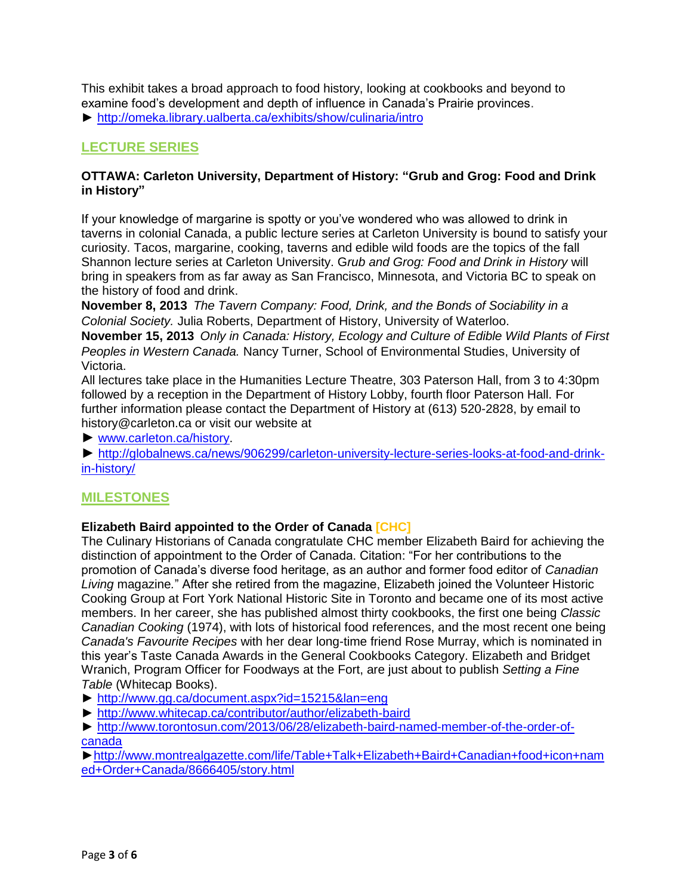This exhibit takes a broad approach to food history, looking at cookbooks and beyond to examine food's development and depth of influence in Canada's Prairie provinces.

► <http://omeka.library.ualberta.ca/exhibits/show/culinaria/intro>

# **LECTURE SERIES**

## **OTTAWA: Carleton University, Department of History: "Grub and Grog: Food and Drink in History"**

If your knowledge of margarine is spotty or you've wondered who was allowed to drink in taverns in colonial Canada, a public lecture series at Carleton University is bound to satisfy your curiosity. Tacos, margarine, cooking, taverns and edible wild foods are the topics of the fall Shannon lecture series at Carleton University. G*rub and Grog: Food and Drink in History* will bring in speakers from as far away as San Francisco, Minnesota, and Victoria BC to speak on the history of food and drink.

**November 8, 2013** *The Tavern Company: Food, Drink, and the Bonds of Sociability in a Colonial Society.* Julia Roberts, Department of History, University of Waterloo.

**November 15, 2013** *Only in Canada: History, Ecology and Culture of Edible Wild Plants of First Peoples in Western Canada.* Nancy Turner, School of Environmental Studies, University of Victoria.

All lectures take place in the Humanities Lecture Theatre, 303 Paterson Hall, from 3 to 4:30pm followed by a reception in the Department of History Lobby, fourth floor Paterson Hall. For further information please contact the Department of History at (613) 520-2828, by email to history@carleton.ca or visit our website at

► [www.carleton.ca/history.](http://newsroom.carleton.ca/2013/10/11/carleton-universitys-department-history-hosts-lecture-series-grub-grog-food-drink-history/www.carleton.ca/history)

► [http://globalnews.ca/news/906299/carleton-university-lecture-series-looks-at-food-and-drink](http://globalnews.ca/news/906299/carleton-university-lecture-series-looks-at-food-and-drink-in-history/)[in-history/](http://globalnews.ca/news/906299/carleton-university-lecture-series-looks-at-food-and-drink-in-history/)

# **MILESTONES**

## **Elizabeth Baird appointed to the Order of Canada [CHC]**

The Culinary Historians of Canada congratulate CHC member Elizabeth Baird for achieving the distinction of appointment to the Order of Canada. Citation: "For her contributions to the promotion of Canada's diverse food heritage, as an author and former food editor of *Canadian Living* magazine*.*" After she retired from the magazine, Elizabeth joined the Volunteer Historic Cooking Group at Fort York National Historic Site in Toronto and became one of its most active members. In her career, she has published almost thirty cookbooks, the first one being *Classic Canadian Cooking* (1974), with lots of historical food references, and the most recent one being *Canada's Favourite Recipes* with her dear long-time friend Rose Murray, which is nominated in this year's Taste Canada Awards in the General Cookbooks Category. Elizabeth and Bridget Wranich, Program Officer for Foodways at the Fort, are just about to publish *Setting a Fine Table* (Whitecap Books).

- ► <http://www.gg.ca/document.aspx?id=15215&lan=eng>
- ► <http://www.whitecap.ca/contributor/author/elizabeth-baird>
- ► [http://www.torontosun.com/2013/06/28/elizabeth-baird-named-member-of-the-order-of](http://www.torontosun.com/2013/06/28/elizabeth-baird-named-member-of-the-order-of-canada)[canada](http://www.torontosun.com/2013/06/28/elizabeth-baird-named-member-of-the-order-of-canada)

[►http://www.montrealgazette.com/life/Table+Talk+Elizabeth+Baird+Canadian+food+icon+nam](http://www.montrealgazette.com/life/Table+Talk+Elizabeth+Baird+Canadian+food+icon+named+Order+Canada/8666405/story.html) [ed+Order+Canada/8666405/story.html](http://www.montrealgazette.com/life/Table+Talk+Elizabeth+Baird+Canadian+food+icon+named+Order+Canada/8666405/story.html)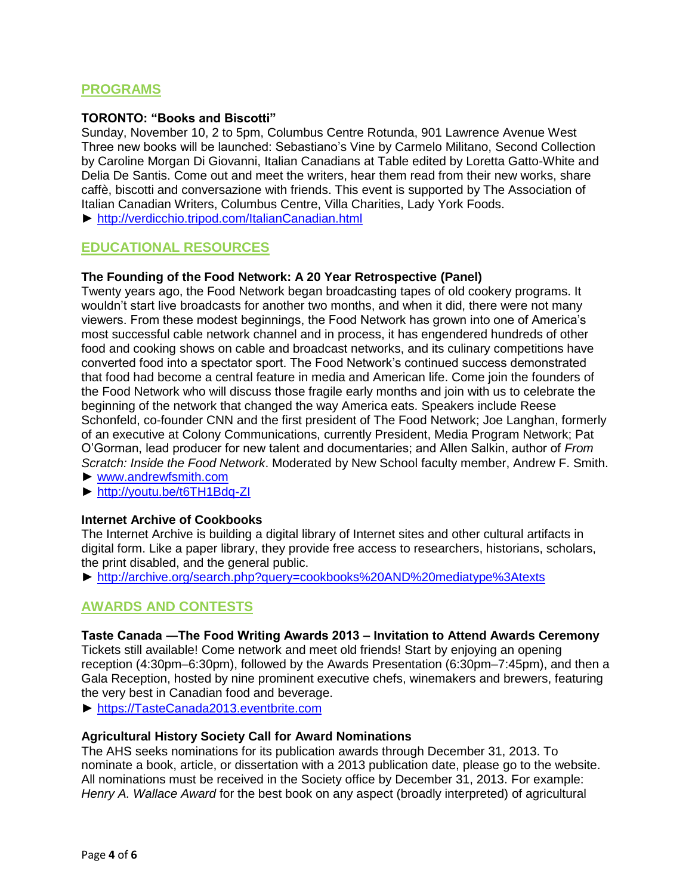# **PROGRAMS**

#### **TORONTO: "Books and Biscotti"**

Sunday, November 10, 2 to 5pm, Columbus Centre Rotunda, 901 Lawrence Avenue West Three new books will be launched: Sebastiano's Vine by Carmelo Militano, Second Collection by Caroline Morgan Di Giovanni, Italian Canadians at Table edited by Loretta Gatto-White and Delia De Santis. Come out and meet the writers, hear them read from their new works, share caffè, biscotti and conversazione with friends. This event is supported by The Association of Italian Canadian Writers, Columbus Centre, Villa Charities, Lady York Foods.

► <http://verdicchio.tripod.com/ItalianCanadian.html>

## **EDUCATIONAL RESOURCES**

#### **The Founding of the Food Network: A 20 Year Retrospective (Panel)**

Twenty years ago, the Food Network began broadcasting tapes of old cookery programs. It wouldn't start live broadcasts for another two months, and when it did, there were not many viewers. From these modest beginnings, the Food Network has grown into one of America's most successful cable network channel and in process, it has engendered hundreds of other food and cooking shows on cable and broadcast networks, and its culinary competitions have converted food into a spectator sport. The Food Network's continued success demonstrated that food had become a central feature in media and American life. Come join the founders of the Food Network who will discuss those fragile early months and join with us to celebrate the beginning of the network that changed the way America eats. Speakers include Reese Schonfeld, co-founder CNN and the first president of The Food Network; Joe Langhan, formerly of an executive at Colony Communications, currently President, Media Program Network; Pat O'Gorman, lead producer for new talent and documentaries; and Allen Salkin, author of *From Scratch: Inside the Food Network*. Moderated by New School faculty member, Andrew F. Smith.

► [www.andrewfsmith.com](http://www.andrewfsmith.com/)

► <http://youtu.be/t6TH1Bdq-ZI>

#### **Internet Archive of Cookbooks**

The Internet Archive is building a digital library of Internet sites and other cultural artifacts in digital form. Like a paper library, they provide free access to researchers, historians, scholars, the print disabled, and the general public.

► <http://archive.org/search.php?query=cookbooks%20AND%20mediatype%3Atexts>

## **AWARDS AND CONTESTS**

#### **Taste Canada ―The Food Writing Awards 2013 – Invitation to Attend Awards Ceremony**

Tickets still available! Come network and meet old friends! Start by enjoying an opening reception (4:30pm–6:30pm), followed by the Awards Presentation (6:30pm–7:45pm), and then a Gala Reception, hosted by nine prominent executive chefs, winemakers and brewers, featuring the very best in Canadian food and beverage.

► [https://TasteCanada2013.eventbrite.com](https://tastecanada2013.eventbrite.com/)

#### **Agricultural History Society Call for Award Nominations**

The AHS seeks nominations for its publication awards through December 31, 2013. To nominate a book, article, or dissertation with a 2013 publication date, please go to the website. All nominations must be received in the Society office by December 31, 2013. For example: *Henry A. Wallace Award* for the best book on any aspect (broadly interpreted) of agricultural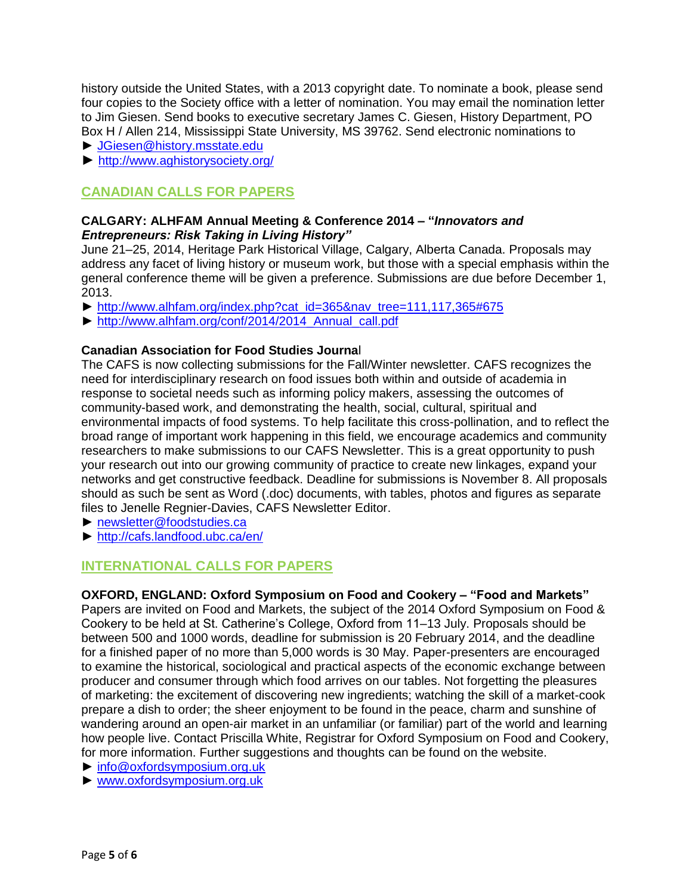history outside the United States, with a 2013 copyright date. To nominate a book, please send four copies to the Society office with a letter of nomination. You may email the nomination letter to Jim Giesen. Send books to executive secretary James C. Giesen, History Department, PO Box H / Allen 214, Mississippi State University, MS 39762. Send electronic nominations to

- ► [JGiesen@history.msstate.edu](mailto:JGiesen@history.msstate.edu)
- ► <http://www.aghistorysociety.org/>

# **CANADIAN CALLS FOR PAPERS**

## **CALGARY: [ALHFAM Annual Meeting & Conference 2014 –](http://www.alhfam.org/index.php?cat_id=365&nav_tree=111,117,365#675) "***Innovators and Entrepreneurs: Risk Taking in Living History"*

June 21–25, 2014, Heritage Park Historical Village, Calgary, Alberta Canada. Proposals may address any facet of living history or museum work, but those with a special emphasis within the general conference theme will be given a preference. Submissions are due before December 1, 2013.

- ► [http://www.alhfam.org/index.php?cat\\_id=365&nav\\_tree=111,117,365#675](http://www.alhfam.org/index.php?cat_id=365&nav_tree=111,117,365#675)
- ► [http://www.alhfam.org/conf/2014/2014\\_Annual\\_call.pdf](http://www.alhfam.org/conf/2014/2014_Annual_call.pdf)

## **Canadian Association for Food Studies Journa**l

The CAFS is now collecting submissions for the Fall/Winter newsletter. CAFS recognizes the need for interdisciplinary research on food issues both within and outside of academia in response to societal needs such as informing policy makers, assessing the outcomes of community-based work, and demonstrating the health, social, cultural, spiritual and environmental impacts of food systems. To help facilitate this cross-pollination, and to reflect the broad range of important work happening in this field, we encourage academics and community researchers to make submissions to our CAFS Newsletter. This is a great opportunity to push your research out into our growing community of practice to create new linkages, expand your networks and get constructive feedback. Deadline for submissions is November 8. All proposals should as such be sent as Word (.doc) documents, with tables, photos and figures as separate files to Jenelle Regnier-Davies, CAFS Newsletter Editor.

- ► [newsletter@foodstudies.ca](mailto:newsletter@foodstudies.ca)
- ► <http://cafs.landfood.ubc.ca/en/>

# **INTERNATIONAL CALLS FOR PAPERS**

## **OXFORD, ENGLAND: Oxford Symposium on Food and Cookery – "Food and Markets"**

Papers are invited on Food and Markets, the subject of the 2014 Oxford Symposium on Food & Cookery to be held at St. Catherine's College, Oxford from 11–13 July. Proposals should be between 500 and 1000 words, deadline for submission is 20 February 2014, and the deadline for a finished paper of no more than 5,000 words is 30 May. Paper-presenters are encouraged to examine the historical, sociological and practical aspects of the economic exchange between producer and consumer through which food arrives on our tables. Not forgetting the pleasures of marketing: the excitement of discovering new ingredients; watching the skill of a market-cook prepare a dish to order; the sheer enjoyment to be found in the peace, charm and sunshine of wandering around an open-air market in an unfamiliar (or familiar) part of the world and learning how people live. Contact Priscilla White, Registrar for Oxford Symposium on Food and Cookery, for more information. Further suggestions and thoughts can be found on the website.

- ► [info@oxfordsymposium.org.uk](mailto:info@oxfordsymposium.org.uk)
- ► [www.oxfordsymposium.org.uk](http://www.oxfordsymposium.org.uk/)